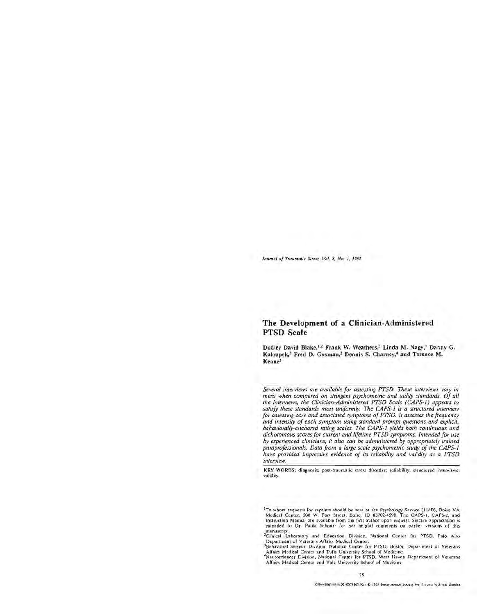*Journal* of *Traumatic Stress,* Vol. 8, No. *1.* <sup>1995</sup>

# **The Development of a Clinician-Administered PTSD Scale**

Dudley David Blake, <sup>1,2</sup> Frank W. Weathers,<sup>3</sup> Linda M. Nagy,<sup>4</sup> Danny G. Kaloupek,<sup>3</sup> Fred D. Gusman,<sup>2</sup> Dennis S. Charney,<sup>4</sup> and Terence M. Keane<sup>3</sup>

*Several interviews are available for assessing PTSD. These interviews vary in merit when compared on stringent psychometric and utility standards. Of all the interviews, the Clinician-Administered PTSD Scale (CAPS-I) appears to satisfy these standards most uniformly. The CAPS-I is a structured interview for assessing core and associated symptoms of PTSD. It assesses the frequency and intensity of each symptom using standard prompt questions and explicit, behaviorally-anchored rating scales. The CAPS-I yields both continuous and dichotomous scores for current and lifetime PTSD symptoms. Intended for use by experienced clinicians, it also can be administered by appropriately trained paraprofessionals. Data from a large scale psychometric study of the CAPS-I have provided impressive evidence of its reliability and validity as a PTSD interview.* 

**KEY WORDS:** diagnosis; post-traumatic stress disorder; reliability; structured interviews. validity.

<sup>1</sup>To whom requests for reprints should be sent at the Psychology Service (116B), Boise VA Medical Center, 500 W Fort Street. **Boise.** ID 83702-4598 The CAPS-I, CAPS-2, and Instruction Manual are available from the first author upon request Sincere appreciation is extended to Dr. Paula Schnurr for her helpful comments on earlier versions of this manuscript.<br><sup>2</sup>Clinical Laboratory and Education Division. National Center for PTSD. Palo Alto

Department of Veterans Affairs Medical Center.<br><sup>3</sup> Behavioral Science Division, National Center for PTSD, Boston Department of Veterans

Affairs Medical Center and Tufts University School of Medicine

\*Neurosciences Division, National Center for PTSD, West Haven Department of Veterans Affairs Medical Center and Yale University School of Medicine.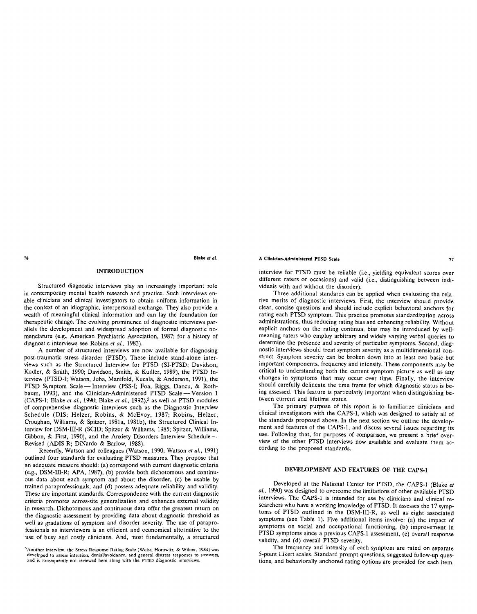## **INTRODUCTION**

Structured diagnostic interviews play an increasingly important role in contemporary mental health research and practice. Such interviews en able clinicians and clinical investigators to obtain uniform information in the context of an idiographic, interpersonal exchange. They also provide a wealth of meaningful clinical information and can lay the foundation for therapeutic change. The evolving prominence of diagnostic interviews par allels the development and widespread adoption of formal diagnostic no menclature (e.g., American Psychiatric Association, 1987; for a history of diagnostic interviews see Robins *et al.,* 1983).

A number of structured interviews are now available for diagnosing post-traumatic stress disorder (PTSD). These include stand-alone inter views such as the Structured Interview for PTSD (SI-PTSD; Davidson, Kudler, & Smith, 1990; Davidson, Smith, & Kudler, 1989), the PTSD In terview (PTSD-I; Watson, Juba, Manifold, Kucala, & Anderson, 1991), the PTSD Symptom Scale--Interview (PSS-I; Foa, Riggs, Dancu, & Rothbaum, 1993), and the Clinician-Administered PTSD Scale -- Version 1 (CAPS-1; Blake *et al.*, 1990; Blake *et al.*, 1992),<sup>5</sup> as well as PTSD modules of comprehensive diagnostic interviews such as the Diagnostic Interview Schedule (DIS; Helzer, Robins, & McEvoy, 1987; Robins, Helzer, Croughan, Williams, & Spitzer, 1981a, 1981b), the Structured Clinical In terview for DSM-III-R (SCID; Spitzer & Williams, 1985; Spitzer, Williams, Gibbon, & First, 1990), and the Anxiety Disorders Interview Schedule Revised (ADIS-R; DiNardo & Barlow, 1988).

Recently, Watson and colleagues (Watson, 1990; Watson *et al,* 1991) outlined four standards for evaluating PTSD measures. They propose that an adequate measure should: (a) correspond with current diagnostic criteria (e.g., DSM-III-R; APA, 1987), (b) provide both dichotomous and continu ous data about each symptom and about the disorder, (c) be usable by trained paraprofessionals, and (d) possess adequate reliability and validity. These are important standards. Correspondence with the current diagnostic criteria promotes across-site generalization and enhances external validity in research. Dichotomous and continuous data offer the greatest return on the diagnostic assessment by providing data about diagnostic threshold as well as gradations of symptom and disorder severity. The use of parapro fessionals as interviewers is an efficient and economical alternative to the use of busy and costly clinicians. And, most fundamentally, a structured

## **A Clinician-Administered PTSD Scale 77**

interview for PTSD must be reliable (i.e., yielding equivalent scores over different raters or occasions) and valid (i.e., distinguishing between indi viduals with and without the disorder).

Three additional standards can be applied when evaluating the rela tive merits of diagnostic interviews. First, the interview should provide clear, concise questions and should include explicit behavioral anchors for rating each PTSD symptom. This practice promotes standardization across administrations, thus reducing rating bias and enhancing reliability. Without explicit anchors on the rating continua, bias may be introduced by well meaning raters who employ arbitrary and widely varying verbal queries to determine the presence and severity of particular symptoms. Second, diagnostic interviews should treat symptom severity as a multidimensional construct. Symptom severity can be broken down into at least two basic but important components, frequency and intensity. These components may be critical to understanding both the current symptom picture as well as any changes in symptoms that may occur over time. Finally, the interview should carefully delineate the time frame for which diagnostic status is be ing assessed. This feature is particularly important when distinguishing be tween current and lifetime status.

The primary purpose of this report is to familiarize clinicians and clinical investigators with the CAPS-1, which was designed to satisfy all of the standards proposed above. In the next section we outline the development and features of the CAPS-1, and discuss several issues regarding its use. Following that, for purposes of comparison, we present a brief over-<br>view of the other PTSD interviews now available and evaluate them ac-<br>cording to the proposed standards.

## DEVELOPMENT AND FEATURES OF THE **CAPS-1**

Developed at the National Center for PTSD, the CAPS-1 (Blake *et al.*, 1990) was designed to overcome the limitations of other available PTSD interviews. The CAPS-1 is intended for use by clinicians and clinical researchers who have a working knowledge of PTSD. It assesses the 17 symptoms of PTSD outlined in the DSM-III-R, as well as eight associated symptoms (see Table 1). Five additional items involve: (a) the impact of symptoms on social and occupational functioning, (b) improvement in PTSD symptoms since a previous CAPS-1 assessment, (c) overall response validity, and (d) overall PTSD severity.

The frequency and intensity of each symptom are rated on separate 5-point Likert scales. Standard prompt questions, suggested follow-up questions, and behaviorally anchored rating options are provided for each item.

<sup>5=</sup> Another interview, **the Stress Response Rating Scale** (Weiss, **Horowitz,** & Wilner, 1984) **was**  developed to assess intrusion, denial/avoidance, **and general** distress responses to stressors, and is consequently not reviewed here along with the PTSD diagnostic interviews.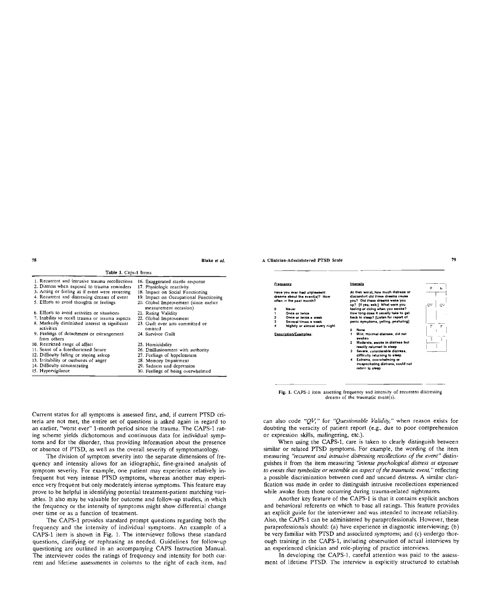$\alpha$ 

 $\epsilon$  $\mathbf{L}$ 

| Table 1. Caps 1 Items                                                                                                                                                                                                            |                                                                                                                                                                                    |                                                                                                                                |
|----------------------------------------------------------------------------------------------------------------------------------------------------------------------------------------------------------------------------------|------------------------------------------------------------------------------------------------------------------------------------------------------------------------------------|--------------------------------------------------------------------------------------------------------------------------------|
| 1. Recurrent and intrusive trauma recollections<br>2. Distress when exposed to trauma reminders                                                                                                                                  | 16. Exaggerated startle response<br>17. Physiologic reactivity                                                                                                                     | <b>Erequency</b>                                                                                                               |
| 3. Acting or feeling as if event were recurring<br>4. Recurrent and distressing dreams of event<br>5. Efforts to avoid thoughts or feelings                                                                                      | 18. Impact on Social Functioning<br>19. Impact on Occupational Functioning<br>20. Global Improvement (since earlier                                                                | Heve you ever had unpleasent<br>dreams about the avent(s)? How<br>often in the past month?                                     |
| 6. Efforts to avoid activities or situations<br>7. Inability to recall trauma or trauma aspects<br>8. Markedly diminished interest in significant<br>activities<br>9. Feelings of detachment or estrangement                     | measurement occasion)<br>21. Rating Validity<br>22. Global Improvement<br>23. Guilt over acts committed or<br>omitted<br>24. Survivor Guilt                                        | Nevar<br>Once or twice<br>Once or twice a week<br>Several times a week<br>Nightly or almost every nig<br>Description/Examples: |
| from others<br>10. Restricted range of affect<br>11. Sense of a foreshortened future<br>12. Difficulty falling or staying asleep<br>13. Irritability or outbursts of anger<br>14. Difficulty concentrating<br>15. Hypervigilance | 25. Homicidality<br>26. Disillusionment with authority<br>27. Feelings of hopelessness<br>28. Memory Impairment<br>29. Sadness and depression<br>30. Feelings of being overwhelmed |                                                                                                                                |



Current status for all symptoms is assessed first, and, if current PTSD cri teria are not met, the entire set of questions is asked again in regard to an earlier, "worst ever" 1-month period since the trauma. The CAPS-1 rat ing scheme yields dichotomous and continuous data for individual symp toms and for the disorder, thus providing information about the presence or absence of PTSD, as well as the overall severity of symptomatology.

The division of symptom severity into the separate dimensions of fre quency and intensity allows for an idiographic, fine-grained analysis of symptom severity. For example, one patient may experience relatively in frequent but very intense PTSD symptoms, whereas another may experi ence very frequent but only moderately intense symptoms. This feature may prove to be helpful in identifying potential treatment-patient matching vari ables. It also may be valuable for outcome and follow-up studies, in which the frequency or the intensity of symptoms might show differential change over time or as a function of treatment.

The CAPS-1 provides standard prompt questions regarding both the frequency and the intensity of individual symptoms. An example of a CAPS-1 item is shown in Fig. 1. The interviewer follows these standard questions, clarifying or rephrasing as needed. Guidelines for follow-up questioning are outlined in an accompanying CAPS Instruction Manual. The interviewer codes the ratings of frequency and intensity for both cur rent and lifetime assessments in columns to the right of each item, and can also code *"QV,"* for *"Questionable Validity,"* when reason exists for doubting the veracity of patient report (e.g., due to poor comprehension or expression skills, malingering, etc.).

When using the CAPS-1, care is taken to clearly distinguish between similar or related PTSD symptoms. For example, the wording of the item measuring *"recurrent and intrusive distressing recollections of the event"* distin guishes it from the item measuring *"intense psychological distress at exposure to events that symbolize or resemble an aspect of the traumatic event, "* reflecting a possible discrimination between cued and uncued distress. A similar clari fication was made in order to distinguish intrusive recollections experienced while awake from those occurring during trauma-related nightmares.

Another key feature of the CAPS-1 is that it contains explicit anchors and behavioral referents on which to base all ratings. This feature provides an explicit guide for the interviewer and was intended to increase reliability. Also, the CAPS-1 can be administered by paraprofessionals. However, these paraprofessionals should: (a) have experience in diagnostic interviewing; (b) be very familiar with PTSD and associated symptoms; and (c) undergo thor ough training in the CAPS-1, including observation of actual interviews by **an** experienced clinician and role-playing of practice interviews.

In developing the CAPS-1, careful attention **was** paid to the assess ment of lifetime PTSD. The interview is explicitly structured to establish

At **their worst, how much distress or discomfort did these dreams cause you? Did these dreams wake you up? [If yes, ask:] What were you feeling or doing when you awoke? How long does** it **usually take to get back to sleep? [Listen for report of panic symptoms, yelling, posturing]** 

- $\mathbf{a}$ **0= None**
- **1= Mild, minimal distress, did not waken**
- **2= Moderate, awoke in distress but readily returned to sleep**
- **3= Severe, considerable distress, difficulty returning to sleep**
- $Extreme, overwhelming on$ **incapacitating distress, could not**
- 

Intensity

- 
- **4 Nightly or almost every** night
	- - **return to sleep**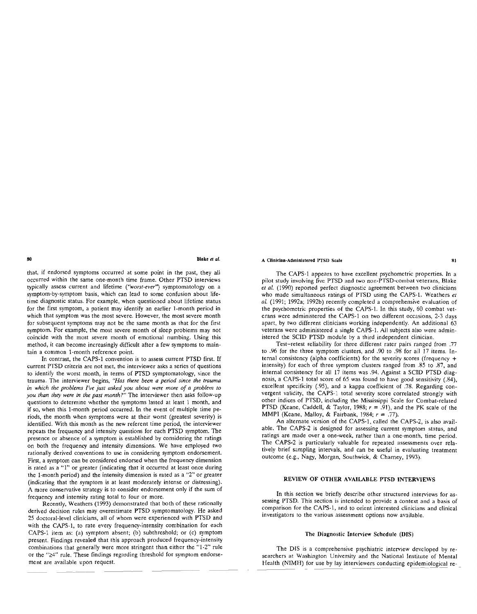that, if endorsed symptoms occurred at some point in the past, they all occurred within the same one-month time frame. Other PTSD interviews typically assess current and lifetime *("worst-ever")* symptomatology on a symptom-by-symptom basis, which can lead to some confusion about life time diagnostic status. For example, when questioned about lifetime status for the first symptom, a patient may identify an earlier 1-month period in which that symptom was the most severe. However, the most severe month for subsequent symptoms may not be the same month as that for the first symptom. For example, the most severe month of sleep problems may not coincide with the most severe month of emotional numbing. Using this method, it can become increasingly difficult after a few symptoms to main tain a common 1-month reference point.

In contrast, the CAPS-1 convention is to assess current PTSD first. If current PTSD criteria are not met, the interviewer asks a series of questions to identify the worst month, in terms of PTSD symptomatology, since the trauma. The interviewer begins, *"Has there been a period since the trauma in which the problems I've just asked you about were more of a problem to you than they were in the past month?"* The interviewer then asks follow-up questions to determine whether the symptoms lasted at least 1 month, and if so, when this 1-month period occurred. In the event of multiple time pe riods, the month when symptoms were at their worst (greatest severity) is identified. With this month as the new referent time period, the interviewer repeats the frequency and intensity questions for each PTSD symptom. The presence or absence of a symptom is established by considering the ratings on both the frequency and intensity dimensions. We have employed two rationally derived conventions to use in considering symptom endorsement. First, a symptom can be considered endorsed when the frequency dimension is rated as a "1" or greater (indicating that it occurred at least once during the 1-month period) and the intensity dimension is rated as a "2" or greater (indicating that the symptom is at least moderately intense or distressing). A more conservative strategy is to consider endorsement only if the sum of frequency and intensity rating total to four or more.

Recently, Weathers (1993) demonstrated that both of these rationally derived decision rules may overestimate PTSD symptomatology. He asked 25 doctoral-level clinicians, all of whom were experienced with PTSD and with the CAPS-1, to rate every frequency-intensity combination for each CAPS-1 item as: (a) symptom absent; (b) subthreshold; or (c) symptom present. Findings revealed that this approach produced frequency-intensity combinations that generally were more stringent than either the "1-2" rule or the " $\geq 4$ " rule. These findings regarding threshold for symptom endorsement are available upon request.

## **A Clinician-Administered** PTSD **Scale** 81

The CAPS-1 appears to have excellent psychometric properties. In a pilot study involving five PTSD and two non-PTSD-combat veterans, Blake *et al.* (1990) reported perfect diagnostic agreement between two clinicians who made simultaneous ratings of PTSD using the CAPS-1. Weathers *et al.* (1991; 1992a; 1992b) recently completed a comprehensive evaluation of the psychometric properties of the CAPS-1. In this study, 60 combat vet erans were administered the CAPS-1 on two different occasions, 2-3 days apart, by two different clinicians working independently. An additional 63 veterans were administered a single CAPS-1. All subjects also were admin istered the SCID PTSD module by a third independent clinician.

Test-retest reliability for three different rater pairs ranged from .77 to .96 for the three symptom clusters, and .90 to .98 for all 17 items. In ternal consistency (alpha coefficients) for the severity scores (frequency + intensity) for each of three symptom clusters ranged from .85 to .87, and internal consistency for all 17 items was .94. Against a SCID PTSD diag nosis, a CAPS-1 total score of 65 was found to have good sensitivity (.84), excellent specificity (.95), and a kappa coefficient of .78. Regarding con vergent validity, the CAPS-1 total severity score correlated strongly with other indices of PTSD, including the Mississippi Scale for Combat-related PTSD (Keane, Caddell, & Taylor, 1988; *r* = .91), and the PK scale of the MMPI (Keane, Malloy, & Fairbank, 1984; *r* = .77).

An alternate version of the CAPS-1, called the CAPS-2, is also avail able. The CAPS-2 is designed for assessing current symptom status, and ratings are made over a one-week, rather than a one-month, time period. The CAPS-2 is particularly valuable for repeated assessments over rela tively brief sampling intervals, and can be useful in evaluating treatment outcome (e.g., Nagy, Morgan, Southwick, & Charney, 1993).

## REVIEW **OF OTHER AVAILABLE PTSD** INTERVIEWS

In this section we briefly describe other structured interviews for as sessing PTSD. This section is intended to provide a context and a basis of comparison for the CAPS-1, and to orient interested clinicians and clinical investigators to the various **assessment** options now available.

## **The Diagnostic Interview Schedule (DIS)**

The DIS is a comprehensive psychiatric interview developed by re searchers at Washington University and the National Institute of Mental Health (NIMH) for use by lay interviewers conducting epidemiological re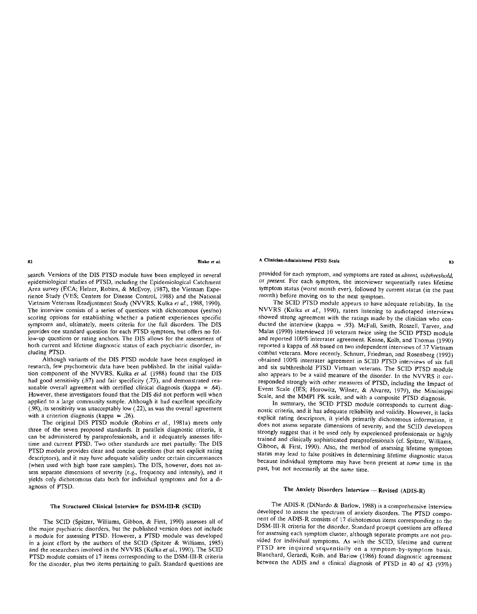**82 Blake** *et al.*

search. Versions of the DIS PTSD module have been employed in several epidemiological studies of PTSD, including the Epidemiological Catchment<br>Area survey (ECA; Helzer, Robins, & McEvoy, 1987), the Vietnam Experience Study (VES; Centers for Disease Control, 1988) and the National Vietnam Veterans Readjustment Study (NVVRS; Kulka *et al.,* 1988, 1990). The interview consists of a series of questions with dichotomous (yes/no) scoring options for establishing whether a patient experiences specific symptoms and, ultimately, meets criteria for the full disorders. The DIS provides one standard question for each PTSD symptom, but offers no fol low-up questions or rating anchors. The DIS allows for the assessment of both current and lifetime diagnostic status of each psychiatric disorder, in cluding PTSD.

Although variants of the DIS PTSD module have been employed in research, few psychometric data have been published. In the initial valida tion component of the NVVRS, Kulka *et al.* (1988) found that the DIS had good sensitivity (.87) and fair specificity (.73), and demonstrated reasonable overall agreement with certified clinical diagnosis (kappa = .64). However, these investigators found that the DIS did not perform well when applied to a large community sample. Although it had excellent specificity (.98), its sensitivity was unacceptably low (.22), as was the overall agreement with a criterion diagnosis (kappa =  $.26$ ).

The original DIS PTSD module (Robins *et al.,* 1981a) meets only three of the seven proposed standards. It parallels diagnostic criteria, it can be administered by paraprofessionals, and it adequately assesses life time and current PTSD. Two other standards are met partially: The DIS PTSD module provides clear and concise questions (but not explicit rating descriptors), and it may have adequate validity under certain circumstances (when used with high base rate samples). The DIS, however, does not as sess separate dimensions of severity (e.g., frequency and intensity), and it yields only dichotomous data both for individual symptoms and for a di agnosis of PTSD.

## **The Structured Clinical Interview for DSM-III-R** (SCID)

The SCID (Spitzer, Williams, Gibbon, & First, 1990) assesses all of the major psychiatric disorders, but the published version does not include a module for assessing PTSD. However, a PTSD module was developed in a joint effort by the authors of the SCID (Spitzer & Williams, 1985) and the researchers involved in the NVVRS (Kulka *et al.,* 1990). The SCID PTSD module consists of 17 items corresponding to the DSM-III-R criteria for the disorder, plus two items pertaining to guilt. Standard questions are provided for each symptom, and symptoms are rated as *absent, subthreshold,* or *present.* For each symptom, the interviewer sequentially rates lifetime symptom status (worst month ever), followed by current status (in the past month) before moving on to the next symptom.

The SCID PTSD module appears to have adequate reliability. In the NVVRS (Kulka *et al.*, 1990), raters listening to audiotaped interviews showed strong agreement with the ratings made by the clinician who conducted the interview (kappa = .93). McFall, Smith, Roszell, Tarver, and Malas (1990) interviewed 10 veterans twice using the SCID PTSD module and reported 100% interrater agreement. Keane, Kolb, and Thomas (1990) reported a kappa of .68 based on two independent interviews of 37 Vietnam<br>combat veterans. More recently, Schnurr, Friedman, and Rosenberg (1993) obtained 100% interrater agreement in SCID PTSD interviews of six full and six subthreshold PTSD Vietnam veterans. The SCID PTSD module also appears to be a valid measure of the disorder. In the NVVRS it corresponded strongly with other measures of PTSD, including the Impact of Event Scale (IES; Horowitz, Wilner, & Alvarez, 1979), the Mississippi

Scale, and the MMPI PK scale, and with a composite PTSD diagnosis.<br>In summary, the SCID PTSD module corresponds to current diagnostic criteria, and it has adequate reliability and validity. However, it lacks explicit ratin does not assess separate dimensions of severity, and the SCID developers strongly suggest that it be used only by experienced professionals or highly trained and clinically sophisticated paraprofessionals (cf. Spitzer, Williams, Gibbon, & First, 1990). Also, the method of assessing lifetime symptom status may lead to false positives in determining lifetime diagnostic st past, but not necessarily at the *same* time.

## The Anxiety Disorders Interview-Revised (ADIS-R)

The ADIS-R (DiNardo & Barlow, 1988) is a comprehensive interview nent of the ADIS-R consists of 17 dichotomous items corresponding to the DSM-III-R criteria for the disorder. Standard prompt questions are offered vided for individual symptoms. As with the SCID, lifetime and current PTSD are inquired sequentially on a symptom-by-symptom basis. Blanchard, Gerardi, Kolb, and Barlow (1986) found diagnostic agreement between the ADIS and a clinical diagnosis of PTSD in 40 of 43 (93%)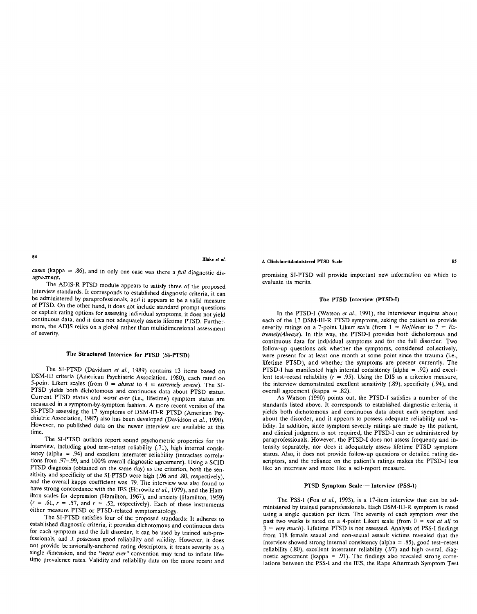cases (kappa = .86), and in only one case was there a *full* diagnostic dis-<br>agreement.

The ADIS-R PTSD module appears to satisfy three of the proposed<br>interview standards. It corresponds to established diagnostic criteria, it can<br>be administered by paraprofessionals, and it appears to be a valid measure<br>of P more, the ADIS relies on a global rather than multidimensional assessment of severity.

## The Structured Interview for PTSD (SI-PTSD)

The SI-PTSD (Davidson *et al.*, 1989) contains 13 items based on<br>DSM-III criteria (American Psychiatric Association, 1980), each rated on<br>5-point Likert scales (from  $0 = absent$  to  $4 = extremely severe$ ). The SI-<br>PTSD yields both dichotomou

The SI-PTSD authors report sound psychometric properties for the interview, including good test-retest reliability (.71), high internal consistency (alpha = .94) and excellent interrater reliability (intraclass correlatio tions from .97-.99, and 100% overall diagnostic agreement). Using a SCID<br>PTSD diagnosis (obtained on the same day) as the criterion, both the sen-<br>sitivity and specificity of the SI-PTSD were high (.96 and .80, respective

The SI-PTSD satisfies four of the proposed standards: It adheres to<br>established diagnostic criteria, it provides dichotomous and continuous data<br>for each symptom and the full disorder, it can be used by trained sub-pro-<br>fe not provide behaviorally-anchored rating descriptors, it treats severity as a single dimension, and the "worst ever" convention may tend to inflate life-<br>time prevalence rates. Validity and reliability data on the more rec promising SI-PTSD will provide important new information on which to evaluate its merits.

## The PTSD Interview (PTSD-I)

In the PTSD-I (Watson *et al,* 1991), the interviewer inquires about each of the 17 DSM-III-R PTSD symptoms, asking the patient to provide severity ratings on a 7-point Likert scale (from  $1 = No/N$ ever to  $7 = Ex$ *tremely/Always).* In this way, the PTSD-I provides both dichotomous and continuous data for individual symptoms and for the full disorder. Two were present for at least one month at some point since the trauma (i.e., lifetime PTSD), and whether the symptoms are present currently. The **PTSD-I** has manifested high internal consistency (alpha  $= .92$ ) and excellent test-retest reliability  $(r = .95)$ . Using the DIS as a criterion measure, the interview demonstrated excellent sensitivity (.89), specificity (.94), and overall agreement (kappa = .82).

As Watson (1990) points out, the PTSD-I satisfies a number of the standards listed above. It corresponds to established diagnostic criteria, it yields both dichotomous and continuous data about each symptom and about the disorder, and it appears to possess adequate reliability and validity. In addition, since symptom severity ratings are made by the patient, and clinical judgment is not required, the PTSD-I can be administered by paraprofessionals. However, the PTSD-I does not assess frequency and intensity separately, nor does it adequately assess lifetime PTSD symptom status. Also, it does not provide follow-up questions or detailed rating de scriptors, and the reliance on the patient's ratings makes the PTSD-I less like an interview and more like a self-report measure.

## PTSD Symptom Scale-Interview (PSS-I)

The PSS-I (Foa *et al.,* 1993), is a 17-item interview that can be ad ministered by trained paraprofessionals. Each DSM-III-R symptom is rated using a single question per item. The severity of each symptom over the past two weeks is rated on a 4-point Likert scale (from  $0 = not$  *at all* to  $3 = very$  much). Lifetime PTSD is not assessed. Analysis of PSS-I findings from 118 female sexual and non-sexual assault victims revealed that the interview showed strong internal consistency (alpha = .85), good test-retest reliability (.80), excellent interrater reliability (.97) and high overall diagnostic agreement (kappa = .91). The findings also revealed strong corre-<br>lations between the PSS-I and the IES, the Rape Aftermath Symptom Test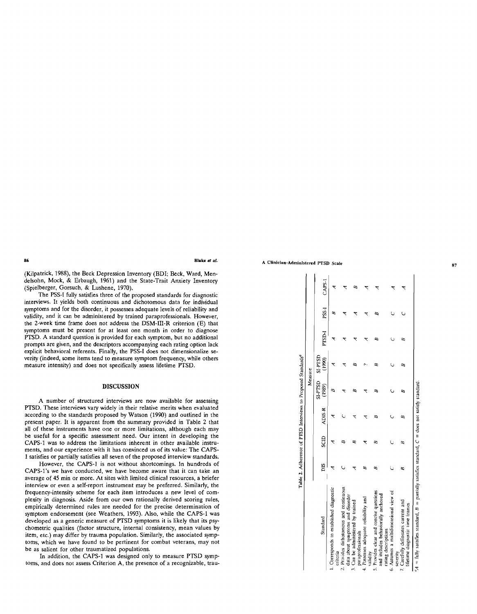(Kilpatrick, 1988), the Beck Depression Inventory (BDI; Beck, Ward, Men delsohn, Mock, & Erbaugh, 1961) and the State-Trait Anxiety Inventory (Spielberger, Gorsuch, & Lushene, 1970).

The PSS-I fully satisfies three of the proposed standards for diagnostic interviews. It yields both continuous and dichotomous data for individual symptoms and for the disorder, it possesses adequate levels of reliability and validity, and it can be administered by trained paraprofessionals. However, the 2-week time frame does not address the DSM-III-R criterion (E) that symptoms must be present for at least one month in order to diagnose PTSD. A standard question is provided for each symptom, but no additional prompts are given, and the descriptors accompanying each rating option lack explicit behavioral referents. Finally, the PSS-I does not dimensionalize se verity (indeed, some items tend to measure symptom frequency, while others measure intensity) and does not specifically assess lifetime PTSD.

## DISCUSSION

A number of structured interviews are now available for assessing PTSD. These interviews vary widely in their relative merits when evaluated according to the standards proposed by Watson (1990) and outlined in the present paper. It is apparent from the summary provided in Table 2 that all of these instruments have one or more limitations, although each may be useful for a specific assessment need. Our intent in developing the CAPS-1 was to address the limitations inherent in other available instru ments, and our experience with it has convinced us of its value: The CAPS 1 satisfies or partially satisfies all seven of the proposed interview standards.

However, the CAPS-1 is not without shortcomings. In hundreds of CAPS-1's we have conducted, we have become aware that it can take an average of 45 min or more. At sites with limited clinical resources, a briefer interview or even a self-report instrument may be preferred. Similarly, the frequency-intensity scheme for each item introduces a new level of com plexity in diagnosis. Aside from our own rationally derived scoring rules, empirically determined rules are needed for the precise determination of symptom endorsement (see Weathers, 1993). Also, while the CAPS-1 was developed as a generic measure of PTSD symptoms it is likely that its psy chometric qualities (factor structure, internal consistency, mean values by item, etc.) may differ by trauma population. Similarly, the associated symp toms, which we have found to be pertinent for combat veterans, may not be as salient for other traumatized populations.

In addition, the CAPS-1 was designed only to measure PTSD symptoms, and does not assess Criterion A, the presence of a recognizable, trau-

|                                                                                                                                                                                                                                                                                                                                                                                                                                                                                                                                                                                                     |     |      |        | Table 2. Adherence of PTSD Interviews to Proposed Standards <sup>a</sup> | Measure                          |        |       |        |
|-----------------------------------------------------------------------------------------------------------------------------------------------------------------------------------------------------------------------------------------------------------------------------------------------------------------------------------------------------------------------------------------------------------------------------------------------------------------------------------------------------------------------------------------------------------------------------------------------------|-----|------|--------|--------------------------------------------------------------------------|----------------------------------|--------|-------|--------|
| Standard                                                                                                                                                                                                                                                                                                                                                                                                                                                                                                                                                                                            | DIS | SCID | ADIS-R | <b>GSL4-IS</b><br>(1989)                                                 | <b>GLA-IS</b><br>$\binom{80}{1}$ | PTSD-I | PSS-1 | CAPS-1 |
| 1. Corresponds to established diagnostic<br>criteria                                                                                                                                                                                                                                                                                                                                                                                                                                                                                                                                                |     |      |        |                                                                          |                                  |        |       |        |
| 2. Provides dichotomous and continuous<br>data about symptoms and disorder                                                                                                                                                                                                                                                                                                                                                                                                                                                                                                                          |     |      |        |                                                                          |                                  |        |       |        |
| 3. Can be administered by trained<br>paraprofessionals                                                                                                                                                                                                                                                                                                                                                                                                                                                                                                                                              |     |      |        |                                                                          |                                  |        |       |        |
| 4. Possess adequate reliability and<br>validity                                                                                                                                                                                                                                                                                                                                                                                                                                                                                                                                                     |     |      |        |                                                                          |                                  |        |       |        |
| 5. Provides clear and concise questions<br>and includes behaviorally anchored<br>rating descriptions                                                                                                                                                                                                                                                                                                                                                                                                                                                                                                |     | œ    |        |                                                                          |                                  |        |       |        |
| 6. Assumes a multidimensional view of<br>severity                                                                                                                                                                                                                                                                                                                                                                                                                                                                                                                                                   |     |      |        |                                                                          |                                  |        |       |        |
| 7. Carefully delineates current and<br>lifetime diagnostic time frames                                                                                                                                                                                                                                                                                                                                                                                                                                                                                                                              |     |      |        |                                                                          |                                  |        |       |        |
| $A = \text{fully satisfies standard } B = \text{parity satisfies standard } C = \text{div} \text{ and } \text{curl} \text{ and } \text{curl} \text{ and } \text{curl} \text{ and } \text{curl} \text{ and } \text{curl} \text{ and } \text{curl} \text{ and } \text{curl} \text{ and } \text{curl} \text{ and } \text{curl} \text{ and } \text{curl} \text{ and } \text{curl} \text{ and } \text{curl} \text{ and } \text{curl} \text{ and } \text{curl} \text{ and } \text{curl} \text{ and } \text{curl} \text{ and } \text{curl} \text{ and } \text{curl} \text{ and } \text{curl} \text{ and }$ |     |      |        |                                                                          |                                  |        |       |        |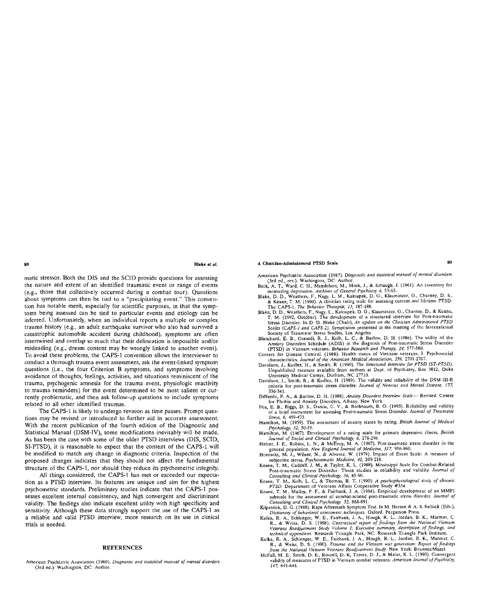matic stressor. Both the DIS and the SCID provide questions for assessing the nature and extent of an identified traumatic event or range of events (e.g., those that collectively occurred during a combat tour). Questions about symptoms can then be tied to a "precipitating event." This conven tion has notable merit, especially for scientific purposes, in that the symp toms being assessed can be tied to particular events and etiology can be inferred. Unfortunately, when an individual reports a multiple or complex trauma history (e.g., an adult earthquake survivor who also had survived a catastrophic automobile accident during childhood), symptoms are often intertwined and overlap so much that their delineation is impossible and/or misleading (e.g., dream content may be wrongly linked to another event). To avoid these problems, the CAPS-1 convention allows the interviewer to conduct a thorough trauma event assessment, ask the event-linked symptom questions (i.e., the four Criterion B symptoms, and symptoms involving avoidance of thoughts, feelings, activities, and situations reminiscent of the trauma, psychogenic amnesia for the trauma event, physiologic reactivity to trauma reminders) for the event determined to be most salient or cur rently problematic, and then ask follow-up questions to include symptoms related to all other identified traumas.

The CAPS-1 is likely to undergo revision as time passes. Prompt ques tions may be revised or introduced to further aid in accurate assessment. With the recent publication of the fourth edition of the Diagnostic and Statistical Manual (DSM-IV), some modifications inevitably will be made. As has been the case with some of the older PTSD interviews (DIS, SCID, SI-PTSD), it is reasonable to expect that the content of the CAPS-1 will be modified to match any change in diagnostic criteria. Inspection of the proposed changes indicates that they should not affect the fundamental structure of the CAPS-1, nor should they reduce its psychometric integrity.

All things considered, the CAPS-1 has met or exceeded our expecta tion as a PTSD interview. Its features are unique and aim for the highest psychometric standards. Preliminary studies indicate that the CAPS-1 pos sesses excellent internal consistency, and high convergent and discriminant validity. The findings also indicate excellent utility with high specificity and sensitivity. Although these data strongly support the use of the CAPS-1 as a reliable and valid PTSD interview, more research on its use in clinical trials is needed.

#### REFERENCES

American Psychiatric Association (1980). Diagnostic *and statistical manual of mental* disorders (3rd ed.). Washington, DC: Author.

## **A Clinician-Administered PTSD Scale 89**

- American Psychiatric Association (1987). *Diagnostic and statistical manual* of mental disorders (3rd ed., rev.). Washington, DC. Author.
- Beck, A. T., Ward, C. H., Mendelson, M., Mock, J., & Erbaugh, J. (1961). An inventory for measuring depression. *Archives of General Psychiatry 4,* 53-63.
- Blake, D. D., Weathers, F., Nagy, L. M., Kaloupek, D. G., Klauminzer, G., Charney, D. S., & Keane, T. M. (1990). A clinician rating scale for assessing current and lifetime PTSD: The CAPS-1. *The Behavior Therapist, 13,* 187-188.
- Blake, D. D., Weathers, F., Nagy, L., Kaloupek, D. G., Klauminzer, G., Charney, D., & Keane, T. M. (1992, October). The development of a structured interview for Post-traumatic Stress Disorder. In D. D. Blake (Chair), *An update on the Clinician Adminstered PTSD Scales (CAPS-1 and CAPS-2).* Symposium presented at the meeting of the International Society of Traumatic Stress Studies, Los Angeles.
- Blanchard, E. B., Gerardi, R. J., Kolb, L. C., & Barlow, D. H. (1986). The utility of the Anxiety Disorders Schedule (ADIS) in the diagnosis of Post-traumatic Stress Disorder (PTSD) in Vietnam veterans. *Behavior Research and Therapy, 24,* 577-580.
- Centers for Disease Control. (1988). Health status of Vietnam veterans: I Psychosocial characteristics. *Journal of the American Medical Association. 259,* 2701-2707.
- Davidson, J., Kudler, H., & Smith, R (1990). *The Structured Interview for PTSD (ST-PTSD).*  Unpublished measure available from authors at Dept. of Psychiatry, Box 3812, Duke University Medical Center, Durham, NC 27710.
- Davidson, J., Smith, R., & Kudler, H. (1989). The validity and reliability of the DSM-III-R criteria for post-traumatic stress disorder. *Journal of Nervous and Mental Disease, 177,*  336-341.
- DiNardo, P. A., & Barlow, D. H. (1988). *Anxiety Disorders Interview Scale-* Revised. Center for Phobia and Anxiety Disorders, Albany, New York.
- Foa, E. B., Riggs, D. S., Dancu, C. V., & Rothbaum, B. O. (1993). Reliability and validity of a brief instrument for assessing Post-traumatic Stress Disorder. *Journal of Traumatic Stress, 6,* 459-473
- Hamilton, M. (1959). The assessment of anxiety states by rating. *British Journal of Medical Psychology, 32,* 50-55.
- Hamilton, M. (1967). Development of a rating scale for primary depressive illness. *British Journal of Social and Clinical Psychology, 6,* 278-296.
- Helzer, J. E., Robins, L. N., & McEvoy, M. A. (1987). Post-traumatic stress disorder in the general population. *New England Journal of Medicine, 317,* 956-960.
- Horowitz, M. J., Wilner, N., & Alvarez, W. (1979). Impact of Event Scale: A measure of subjective stress. *Psychosomatic Medicine, 41,* 209-218.
- Keane, T. M., Caddell, J. M., & Taylor, K. L. (1988). Mississippi Scale for Combat-Related Post-traumatic Stress Disorder: Three studies in reliability and validity. *Journal of Consulting and Clinical Psychology, 56,* 85-90.
- Keane, T. M., Kolb, L. C., & Thomas, R. T. (1990). *A psychophysiological study of chronic PTSD.* Department of Veterans Affairs Cooperative Study #334.
- Keane, T. M, Malloy, P. F., & Fairbank, J. A. (1984). Empirical development of an MMPI subscale for the assessment of combat-related post-traumatic stress disorder. *Journal of Consulting and Clinical Psychology, 52,* 888-891.
- Kilpatrick, D. G. (1988). Rape Aftermath Symptom Test. In M. Hersen & A. S. Bellack (Eds.), *Dictionary of behavioral assessment techniques.* Oxford: Pergamon Press.
- Kulka, R. A., Schlenger, W. E, Fairbank, J. A., Hough, R. L., Jordan, B. K., Marmar, C. R., & Weiss, D. S. (1988). *Contractual report of findings from the National Vietnam Veterans Readjustment Study Volume 1: Executive summary, description of findings, and technical appendices.* Research Triangle Park, NC: Research Triangle Park Institute.
- Kulka, R. A., Schlenger, W. E., Fairbank, J A, Hough, R. L., Jordan, B. K., Marmar, C. R., & Weiss, D. S. (1990). *Trauma and the Vietnam war generation: Report of findings from the National Vietnam Veterans Readjustment Study.* New York: Brunner/Mazel.
- McFall, M E., Smith, D. E., Roszell, D. K, Tarver, D. J., & Malas, K L. (1990). Convergent validity of measures of PTSD in Vietnam combat veterans. *American Journal of Psychiatry, 147,* 645-648.